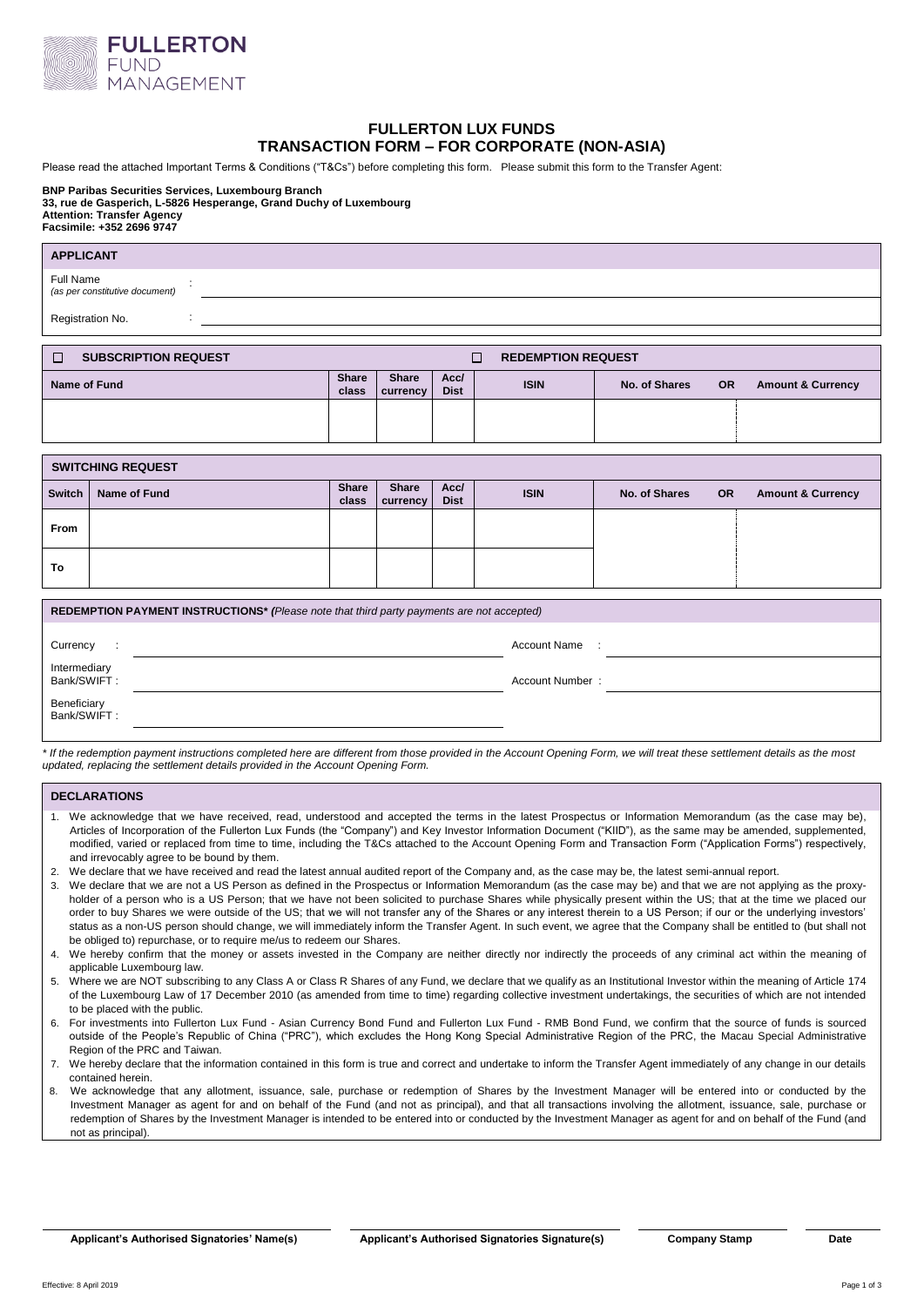

# **FULLERTON LUX FUNDS TRANSACTION FORM – FOR CORPORATE (NON-ASIA)**

Please read the attached Important Terms & Conditions ("T&Cs") before completing this form. Please submit this form to the Transfer Agent:

## **BNP Paribas Securities Services, Luxembourg Branch**

**33, rue de Gasperich, L-5826 Hesperange, Grand Duchy of Luxembourg Attention: Transfer Agency**

**Facsimile: +352 2696 9747**

| <b>APPLICANT</b>                                                        |                       |                          |                     |             |               |           |                              |
|-------------------------------------------------------------------------|-----------------------|--------------------------|---------------------|-------------|---------------|-----------|------------------------------|
| Full Name<br>÷<br>(as per constitutive document)                        |                       |                          |                     |             |               |           |                              |
| Registration No.<br>÷.                                                  |                       |                          |                     |             |               |           |                              |
|                                                                         |                       |                          |                     |             |               |           |                              |
| <b>SUBSCRIPTION REQUEST</b><br>$\Box$<br><b>REDEMPTION REQUEST</b><br>П |                       |                          |                     |             |               |           |                              |
| Name of Fund                                                            | <b>Share</b><br>class | <b>Share</b><br>currency | Acc/<br><b>Dist</b> | <b>ISIN</b> | No. of Shares | <b>OR</b> | <b>Amount &amp; Currency</b> |
|                                                                         |                       |                          |                     |             |               |           |                              |
|                                                                         |                       |                          |                     |             |               |           |                              |
| <b>SWITCHING REQUEST</b>                                                |                       |                          |                     |             |               |           |                              |
| <b>Switch</b><br>Name of Fund                                           | Share<br>class        | <b>Share</b><br>currency | Acc/<br><b>Dist</b> | <b>ISIN</b> | No. of Shares | <b>OR</b> | <b>Amount &amp; Currency</b> |
| From                                                                    |                       |                          |                     |             |               |           |                              |
|                                                                         |                       |                          |                     |             |               |           |                              |

| REDEMPTION PAYMENT INSTRUCTIONS* (Please note that third party payments are not accepted) |  |                     |  |  |
|-------------------------------------------------------------------------------------------|--|---------------------|--|--|
| Currency<br>$\ddot{\phantom{a}}$                                                          |  | <b>Account Name</b> |  |  |
| Intermediary<br>Bank/SWIFT:                                                               |  | Account Number:     |  |  |
| Beneficiary<br>Bank/SWIFT:                                                                |  |                     |  |  |
|                                                                                           |  |                     |  |  |

*\* If the redemption payment instructions completed here are different from those provided in the Account Opening Form, we will treat these settlement details as the most updated, replacing the settlement details provided in the Account Opening Form.*

## **DECLARATIONS**

**To**

- 1. We acknowledge that we have received, read, understood and accepted the terms in the latest Prospectus or Information Memorandum (as the case may be), Articles of Incorporation of the Fullerton Lux Funds (the "Company") and Key Investor Information Document ("KIID"), as the same may be amended, supplemented, modified, varied or replaced from time to time, including the T&Cs attached to the Account Opening Form and Transaction Form ("Application Forms") respectively, and irrevocably agree to be bound by them.
- 2. We declare that we have received and read the latest annual audited report of the Company and, as the case may be, the latest semi-annual report.
- 3. We declare that we are not a US Person as defined in the Prospectus or Information Memorandum (as the case may be) and that we are not applying as the proxyholder of a person who is a US Person; that we have not been solicited to purchase Shares while physically present within the US; that at the time we placed our order to buy Shares we were outside of the US; that we will not transfer any of the Shares or any interest therein to a US Person; if our or the underlying investors' status as a non-US person should change, we will immediately inform the Transfer Agent. In such event, we agree that the Company shall be entitled to (but shall not be obliged to) repurchase, or to require me/us to redeem our Shares.
- 4. We hereby confirm that the money or assets invested in the Company are neither directly nor indirectly the proceeds of any criminal act within the meaning of applicable Luxembourg law.
- 5. Where we are NOT subscribing to any Class A or Class R Shares of any Fund, we declare that we qualify as an Institutional Investor within the meaning of Article 174 of the Luxembourg Law of 17 December 2010 (as amended from time to time) regarding collective investment undertakings, the securities of which are not intended to be placed with the public.
- 6. For investments into Fullerton Lux Fund Asian Currency Bond Fund and Fullerton Lux Fund RMB Bond Fund, we confirm that the source of funds is sourced outside of the People's Republic of China ("PRC"), which excludes the Hong Kong Special Administrative Region of the PRC, the Macau Special Administrative Region of the PRC and Taiwan.
- 7. We hereby declare that the information contained in this form is true and correct and undertake to inform the Transfer Agent immediately of any change in our details contained herein.
- 8. We acknowledge that any allotment, issuance, sale, purchase or redemption of Shares by the Investment Manager will be entered into or conducted by the Investment Manager as agent for and on behalf of the Fund (and not as principal), and that all transactions involving the allotment, issuance, sale, purchase or redemption of Shares by the Investment Manager is intended to be entered into or conducted by the Investment Manager as agent for and on behalf of the Fund (and not as principal).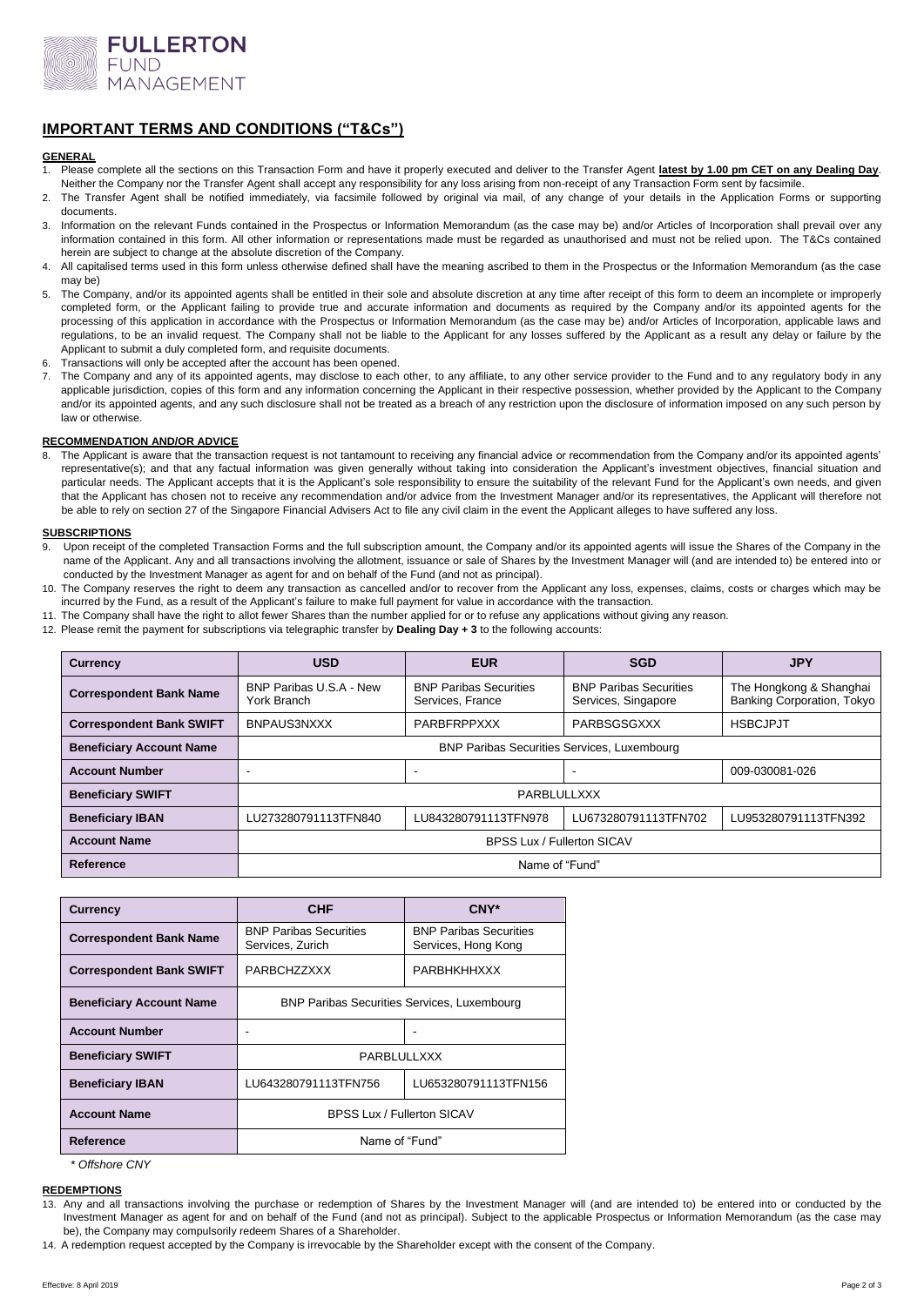

# **IMPORTANT TERMS AND CONDITIONS ("T&Cs")**

## **GENERAL**

- 1. Please complete all the sections on this Transaction Form and have it properly executed and deliver to the Transfer Agent **latest by 1.00 pm CET on any Dealing Day**. Neither the Company nor the Transfer Agent shall accept any responsibility for any loss arising from non-receipt of any Transaction Form sent by facsimile.
- 2. The Transfer Agent shall be notified immediately, via facsimile followed by original via mail, of any change of your details in the Application Forms or supporting documents.
- 3. Information on the relevant Funds contained in the Prospectus or Information Memorandum (as the case may be) and/or Articles of Incorporation shall prevail over any information contained in this form. All other information or representations made must be regarded as unauthorised and must not be relied upon. The T&Cs contained herein are subject to change at the absolute discretion of the Company.
- 4. All capitalised terms used in this form unless otherwise defined shall have the meaning ascribed to them in the Prospectus or the Information Memorandum (as the case may be)
- 5. The Company, and/or its appointed agents shall be entitled in their sole and absolute discretion at any time after receipt of this form to deem an incomplete or improperly completed form, or the Applicant failing to provide true and accurate information and documents as required by the Company and/or its appointed agents for the processing of this application in accordance with the Prospectus or Information Memorandum (as the case may be) and/or Articles of Incorporation, applicable laws and regulations, to be an invalid request. The Company shall not be liable to the Applicant for any losses suffered by the Applicant as a result any delay or failure by the Applicant to submit a duly completed form, and requisite documents.
- 6. Transactions will only be accepted after the account has been opened.
- The Company and any of its appointed agents, may disclose to each other, to any affiliate, to any other service provider to the Fund and to any regulatory body in any applicable jurisdiction, copies of this form and any information concerning the Applicant in their respective possession, whether provided by the Applicant to the Company and/or its appointed agents, and any such disclosure shall not be treated as a breach of any restriction upon the disclosure of information imposed on any such person by law or otherwise.

## **RECOMMENDATION AND/OR ADVICE**

8. The Applicant is aware that the transaction request is not tantamount to receiving any financial advice or recommendation from the Company and/or its appointed agents' representative(s); and that any factual information was given generally without taking into consideration the Applicant's investment objectives, financial situation and particular needs. The Applicant accepts that it is the Applicant's sole responsibility to ensure the suitability of the relevant Fund for the Applicant's own needs, and given that the Applicant has chosen not to receive any recommendation and/or advice from the Investment Manager and/or its representatives, the Applicant will therefore not be able to rely on section 27 of the Singapore Financial Advisers Act to file any civil claim in the event the Applicant alleges to have suffered any loss.

## **SUBSCRIPTIONS**

- Upon receipt of the completed Transaction Forms and the full subscription amount, the Company and/or its appointed agents will issue the Shares of the Company in the name of the Applicant. Any and all transactions involving the allotment, issuance or sale of Shares by the Investment Manager will (and are intended to) be entered into or conducted by the Investment Manager as agent for and on behalf of the Fund (and not as principal).
- 10. The Company reserves the right to deem any transaction as cancelled and/or to recover from the Applicant any loss, expenses, claims, costs or charges which may be incurred by the Fund, as a result of the Applicant's failure to make full payment for value in accordance with the transaction.
- 11. The Company shall have the right to allot fewer Shares than the number applied for or to refuse any applications without giving any reason.
- 12. Please remit the payment for subscriptions via telegraphic transfer by **Dealing Day + 3** to the following accounts:

| <b>Currency</b>                 | <b>USD</b>                                         | <b>EUR</b>                                        | <b>SGD</b>                                           | <b>JPY</b>                                            |  |
|---------------------------------|----------------------------------------------------|---------------------------------------------------|------------------------------------------------------|-------------------------------------------------------|--|
| <b>Correspondent Bank Name</b>  | BNP Paribas U.S.A - New<br>York Branch             | <b>BNP Paribas Securities</b><br>Services, France | <b>BNP Paribas Securities</b><br>Services, Singapore | The Hongkong & Shanghai<br>Banking Corporation, Tokyo |  |
| <b>Correspondent Bank SWIFT</b> | BNPAUS3NXXX                                        | PARBFRPPXXX                                       | PARBSGSGXXX                                          | <b>HSBCJPJT</b>                                       |  |
| <b>Beneficiary Account Name</b> | <b>BNP Paribas Securities Services, Luxembourg</b> |                                                   |                                                      |                                                       |  |
| <b>Account Number</b>           |                                                    | -                                                 |                                                      | 009-030081-026                                        |  |
| <b>Beneficiary SWIFT</b>        | PARBLULLXXX                                        |                                                   |                                                      |                                                       |  |
| <b>Beneficiary IBAN</b>         | LU273280791113TFN840                               | LU843280791113TFN978                              | LU673280791113TFN702                                 | LU953280791113TFN392                                  |  |
| <b>Account Name</b>             | <b>BPSS Lux / Fullerton SICAV</b>                  |                                                   |                                                      |                                                       |  |
| Reference                       | Name of "Fund"                                     |                                                   |                                                      |                                                       |  |

| <b>Currency</b>                 | <b>CHF</b>                                         | $CNY^*$                                              |  |
|---------------------------------|----------------------------------------------------|------------------------------------------------------|--|
| <b>Correspondent Bank Name</b>  | <b>BNP Paribas Securities</b><br>Services, Zurich  | <b>BNP Paribas Securities</b><br>Services, Hong Kong |  |
| <b>Correspondent Bank SWIFT</b> | PARBCHZZXXX                                        | <b>PARBHKHHXXX</b>                                   |  |
| <b>Beneficiary Account Name</b> | <b>BNP Paribas Securities Services, Luxembourg</b> |                                                      |  |
| <b>Account Number</b>           |                                                    |                                                      |  |
| <b>Beneficiary SWIFT</b>        | PARBLULLXXX                                        |                                                      |  |
| <b>Beneficiary IBAN</b>         | LU643280791113TFN756                               | LU653280791113TFN156                                 |  |
| <b>Account Name</b>             | <b>BPSS Lux / Fullerton SICAV</b>                  |                                                      |  |
| Reference                       | Name of "Fund"                                     |                                                      |  |

*\* Offshore CNY* 

## **REDEMPTIONS**

13. Any and all transactions involving the purchase or redemption of Shares by the Investment Manager will (and are intended to) be entered into or conducted by the Investment Manager as agent for and on behalf of the Fund (and not as principal). Subject to the applicable Prospectus or Information Memorandum (as the case may be), the Company may compulsorily redeem Shares of a Shareholder.

14. A redemption request accepted by the Company is irrevocable by the Shareholder except with the consent of the Company.